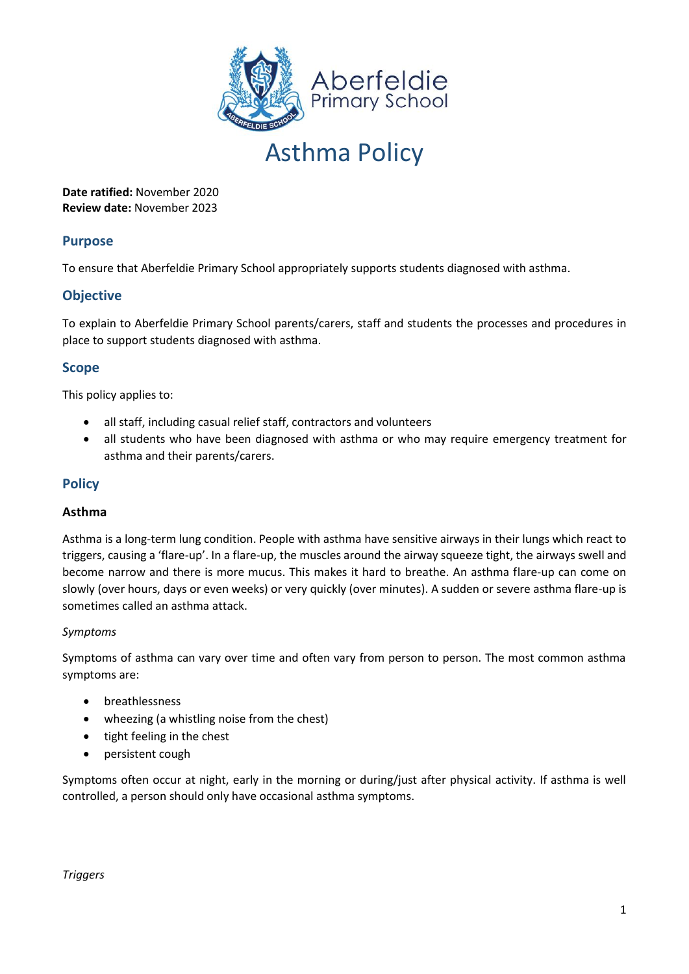

**Date ratified:** November 2020 **Review date:** November 2023

## **Purpose**

To ensure that Aberfeldie Primary School appropriately supports students diagnosed with asthma.

# **Objective**

To explain to Aberfeldie Primary School parents/carers, staff and students the processes and procedures in place to support students diagnosed with asthma.

## **Scope**

This policy applies to:

- all staff, including casual relief staff, contractors and volunteers
- all students who have been diagnosed with asthma or who may require emergency treatment for asthma and their parents/carers.

## **Policy**

### **Asthma**

Asthma is a long-term lung condition. People with asthma have sensitive airways in their lungs which react to triggers, causing a 'flare-up'. In a flare-up, the muscles around the airway squeeze tight, the airways swell and become narrow and there is more mucus. This makes it hard to breathe. An asthma flare-up can come on slowly (over hours, days or even weeks) or very quickly (over minutes). A sudden or severe asthma flare-up is sometimes called an asthma attack.

### *Symptoms*

Symptoms of asthma can vary over time and often vary from person to person. The most common asthma symptoms are:

- breathlessness
- wheezing (a whistling noise from the chest)
- tight feeling in the chest
- persistent cough

Symptoms often occur at night, early in the morning or during/just after physical activity. If asthma is well controlled, a person should only have occasional asthma symptoms.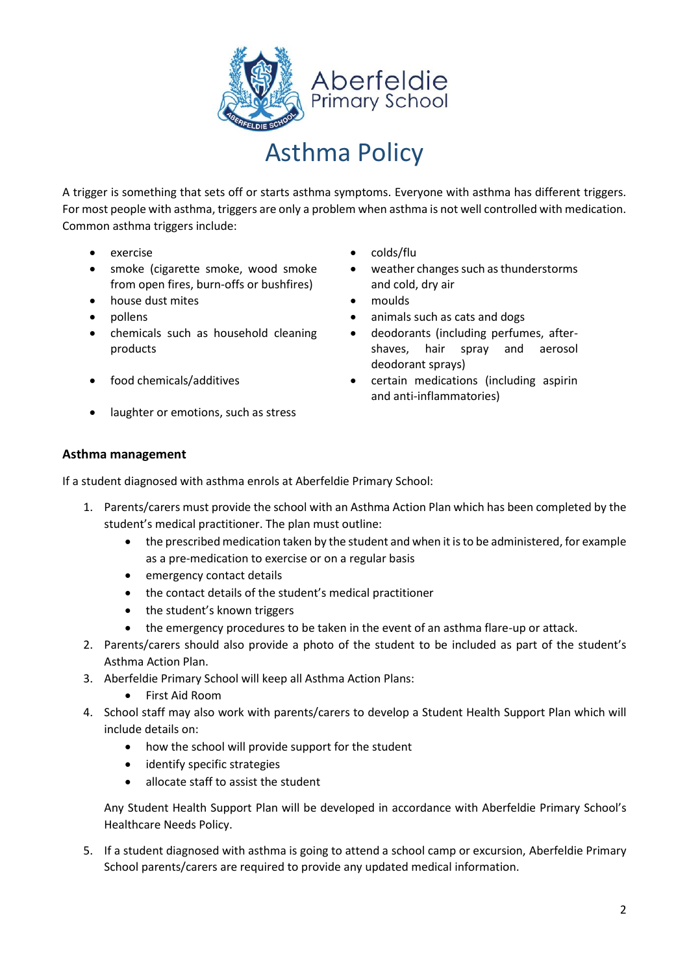

A trigger is something that sets off or starts asthma symptoms. Everyone with asthma has different triggers. For most people with asthma, triggers are only a problem when asthma is not well controlled with medication. Common asthma triggers include:

- 
- smoke (cigarette smoke, wood smoke from open fires, burn-offs or bushfires)
- house dust mites moulds
- 
- chemicals such as household cleaning products
- 
- laughter or emotions, such as stress
- exercise colds/flu
	- weather changes such as thunderstorms and cold, dry air
	-
- pollens animals such as cats and dogs
	- deodorants (including perfumes, aftershaves, hair spray and aerosol deodorant sprays)
- food chemicals/additives certain medications (including aspirin and anti-inflammatories)

### **Asthma management**

If a student diagnosed with asthma enrols at Aberfeldie Primary School:

- 1. Parents/carers must provide the school with an Asthma Action Plan which has been completed by the student's medical practitioner. The plan must outline:
	- the prescribed medication taken by the student and when it is to be administered, for example as a pre-medication to exercise or on a regular basis
	- emergency contact details
	- the contact details of the student's medical practitioner
	- the student's known triggers
	- the emergency procedures to be taken in the event of an asthma flare-up or attack.
- 2. Parents/carers should also provide a photo of the student to be included as part of the student's Asthma Action Plan.
- 3. Aberfeldie Primary School will keep all Asthma Action Plans:
	- First Aid Room
- 4. School staff may also work with parents/carers to develop a Student Health Support Plan which will include details on:
	- how the school will provide support for the student
	- identify specific strategies
	- allocate staff to assist the student

Any Student Health Support Plan will be developed in accordance with Aberfeldie Primary School's Healthcare Needs Policy.

5. If a student diagnosed with asthma is going to attend a school camp or excursion, Aberfeldie Primary School parents/carers are required to provide any updated medical information.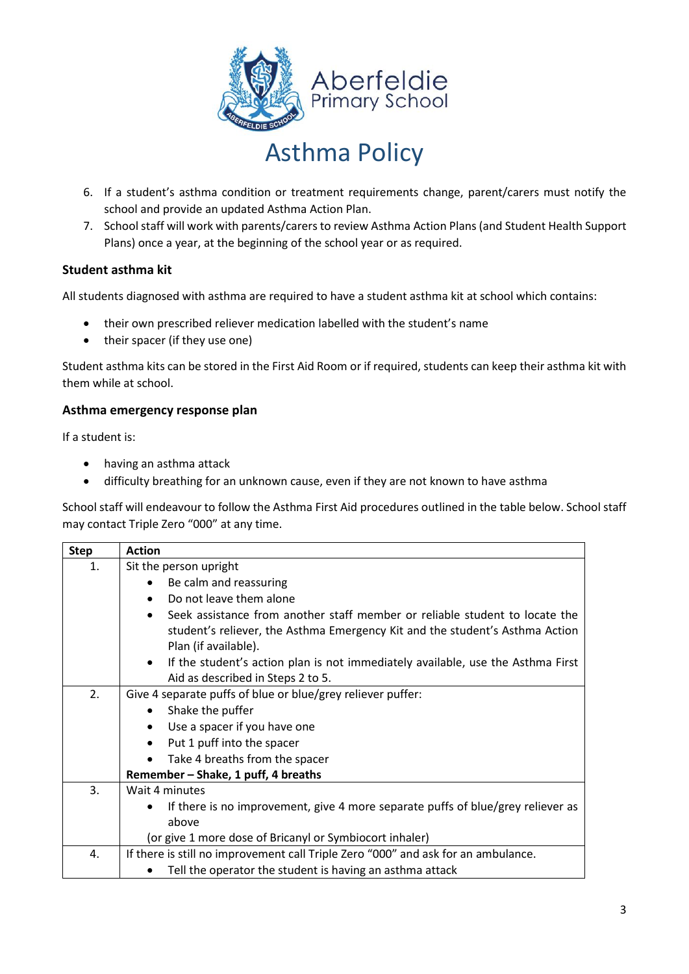

- 6. If a student's asthma condition or treatment requirements change, parent/carers must notify the school and provide an updated Asthma Action Plan.
- 7. School staff will work with parents/carers to review Asthma Action Plans (and Student Health Support Plans) once a year, at the beginning of the school year or as required.

### **Student asthma kit**

All students diagnosed with asthma are required to have a student asthma kit at school which contains:

- their own prescribed reliever medication labelled with the student's name
- their spacer (if they use one)

Student asthma kits can be stored in the First Aid Room or if required, students can keep their asthma kit with them while at school.

### **Asthma emergency response plan**

If a student is:

- having an asthma attack
- difficulty breathing for an unknown cause, even if they are not known to have asthma

School staff will endeavour to follow the Asthma First Aid procedures outlined in the table below. School staff may contact Triple Zero "000" at any time.

| <b>Step</b> | <b>Action</b>                                                                                |  |  |  |  |  |
|-------------|----------------------------------------------------------------------------------------------|--|--|--|--|--|
| 1.          | Sit the person upright                                                                       |  |  |  |  |  |
|             | Be calm and reassuring                                                                       |  |  |  |  |  |
|             | Do not leave them alone<br>$\bullet$                                                         |  |  |  |  |  |
|             | Seek assistance from another staff member or reliable student to locate the                  |  |  |  |  |  |
|             | student's reliever, the Asthma Emergency Kit and the student's Asthma Action                 |  |  |  |  |  |
|             | Plan (if available).                                                                         |  |  |  |  |  |
|             | If the student's action plan is not immediately available, use the Asthma First<br>$\bullet$ |  |  |  |  |  |
|             | Aid as described in Steps 2 to 5.                                                            |  |  |  |  |  |
| 2.          | Give 4 separate puffs of blue or blue/grey reliever puffer:                                  |  |  |  |  |  |
|             | Shake the puffer<br>$\bullet$                                                                |  |  |  |  |  |
|             | Use a spacer if you have one<br>$\bullet$                                                    |  |  |  |  |  |
|             | Put 1 puff into the spacer<br>$\bullet$                                                      |  |  |  |  |  |
|             | Take 4 breaths from the spacer<br>$\bullet$                                                  |  |  |  |  |  |
|             | Remember - Shake, 1 puff, 4 breaths                                                          |  |  |  |  |  |
| 3.          | Wait 4 minutes                                                                               |  |  |  |  |  |
|             | If there is no improvement, give 4 more separate puffs of blue/grey reliever as<br>$\bullet$ |  |  |  |  |  |
|             | above                                                                                        |  |  |  |  |  |
|             | (or give 1 more dose of Bricanyl or Symbiocort inhaler)                                      |  |  |  |  |  |
| 4.          | If there is still no improvement call Triple Zero "000" and ask for an ambulance.            |  |  |  |  |  |
|             | Tell the operator the student is having an asthma attack                                     |  |  |  |  |  |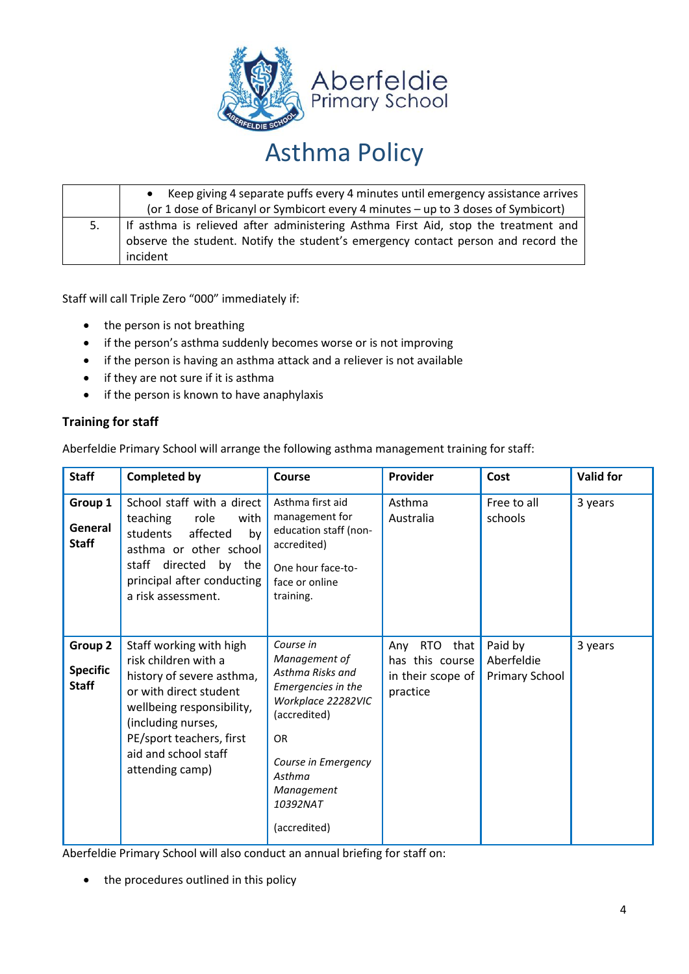

|    | Keep giving 4 separate puffs every 4 minutes until emergency assistance arrives                                                                                         |  |  |  |  |  |
|----|-------------------------------------------------------------------------------------------------------------------------------------------------------------------------|--|--|--|--|--|
|    | (or 1 dose of Bricanyl or Symbicort every 4 minutes - up to 3 doses of Symbicort)                                                                                       |  |  |  |  |  |
| 5. | If asthma is relieved after administering Asthma First Aid, stop the treatment and<br>observe the student. Notify the student's emergency contact person and record the |  |  |  |  |  |
|    | incident                                                                                                                                                                |  |  |  |  |  |

Staff will call Triple Zero "000" immediately if:

- the person is not breathing
- if the person's asthma suddenly becomes worse or is not improving
- if the person is having an asthma attack and a reliever is not available
- if they are not sure if it is asthma
- if the person is known to have anaphylaxis

### **Training for staff**

Aberfeldie Primary School will arrange the following asthma management training for staff:

| <b>Staff</b>                               | <b>Completed by</b>                                                                                                                                                                                                              | Course                                                                                                                                                                                             | Provider                                                              | Cost                                    | <b>Valid for</b> |
|--------------------------------------------|----------------------------------------------------------------------------------------------------------------------------------------------------------------------------------------------------------------------------------|----------------------------------------------------------------------------------------------------------------------------------------------------------------------------------------------------|-----------------------------------------------------------------------|-----------------------------------------|------------------|
| Group 1<br>General<br><b>Staff</b>         | School staff with a direct<br>teaching<br>role<br>with<br>affected<br>students<br>by<br>asthma or other school<br>staff directed by the<br>principal after conducting<br>a risk assessment.                                      | Asthma first aid<br>management for<br>education staff (non-<br>accredited)<br>One hour face-to-<br>face or online<br>training.                                                                     | Asthma<br>Australia                                                   | Free to all<br>schools                  | 3 years          |
| Group 2<br><b>Specific</b><br><b>Staff</b> | Staff working with high<br>risk children with a<br>history of severe asthma,<br>or with direct student<br>wellbeing responsibility,<br>(including nurses,<br>PE/sport teachers, first<br>aid and school staff<br>attending camp) | Course in<br>Management of<br>Asthma Risks and<br>Emergencies in the<br>Workplace 22282VIC<br>(accredited)<br><b>OR</b><br>Course in Emergency<br>Asthma<br>Management<br>10392NAT<br>(accredited) | $RTO$ that<br>Any<br>has this course<br>in their scope of<br>practice | Paid by<br>Aberfeldie<br>Primary School | 3 years          |

Aberfeldie Primary School will also conduct an annual briefing for staff on:

• the procedures outlined in this policy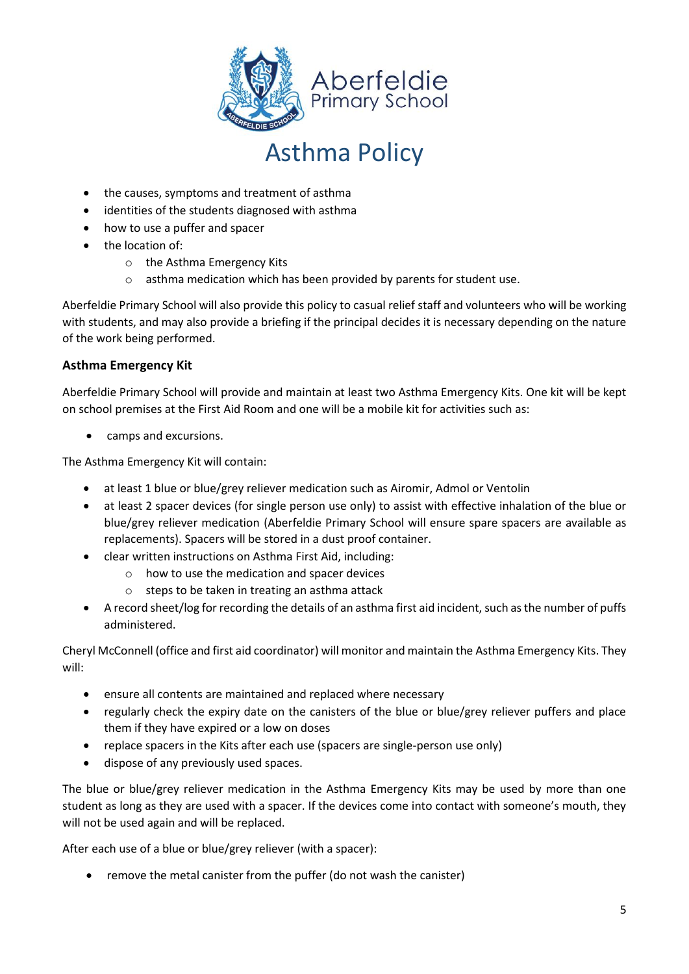

- the causes, symptoms and treatment of asthma
- identities of the students diagnosed with asthma
- how to use a puffer and spacer
- the location of:
	- o the Asthma Emergency Kits
	- o asthma medication which has been provided by parents for student use.

Aberfeldie Primary School will also provide this policy to casual relief staff and volunteers who will be working with students, and may also provide a briefing if the principal decides it is necessary depending on the nature of the work being performed.

### **Asthma Emergency Kit**

Aberfeldie Primary School will provide and maintain at least two Asthma Emergency Kits. One kit will be kept on school premises at the First Aid Room and one will be a mobile kit for activities such as:

• camps and excursions.

The Asthma Emergency Kit will contain:

- at least 1 blue or blue/grey reliever medication such as Airomir, Admol or Ventolin
- at least 2 spacer devices (for single person use only) to assist with effective inhalation of the blue or blue/grey reliever medication (Aberfeldie Primary School will ensure spare spacers are available as replacements). Spacers will be stored in a dust proof container.
- clear written instructions on Asthma First Aid, including:
	- o how to use the medication and spacer devices
	- $\circ$  steps to be taken in treating an asthma attack
- A record sheet/log for recording the details of an asthma first aid incident, such as the number of puffs administered.

Cheryl McConnell (office and first aid coordinator) will monitor and maintain the Asthma Emergency Kits. They will:

- ensure all contents are maintained and replaced where necessary
- regularly check the expiry date on the canisters of the blue or blue/grey reliever puffers and place them if they have expired or a low on doses
- replace spacers in the Kits after each use (spacers are single-person use only)
- dispose of any previously used spaces.

The blue or blue/grey reliever medication in the Asthma Emergency Kits may be used by more than one student as long as they are used with a spacer. If the devices come into contact with someone's mouth, they will not be used again and will be replaced.

After each use of a blue or blue/grey reliever (with a spacer):

• remove the metal canister from the puffer (do not wash the canister)